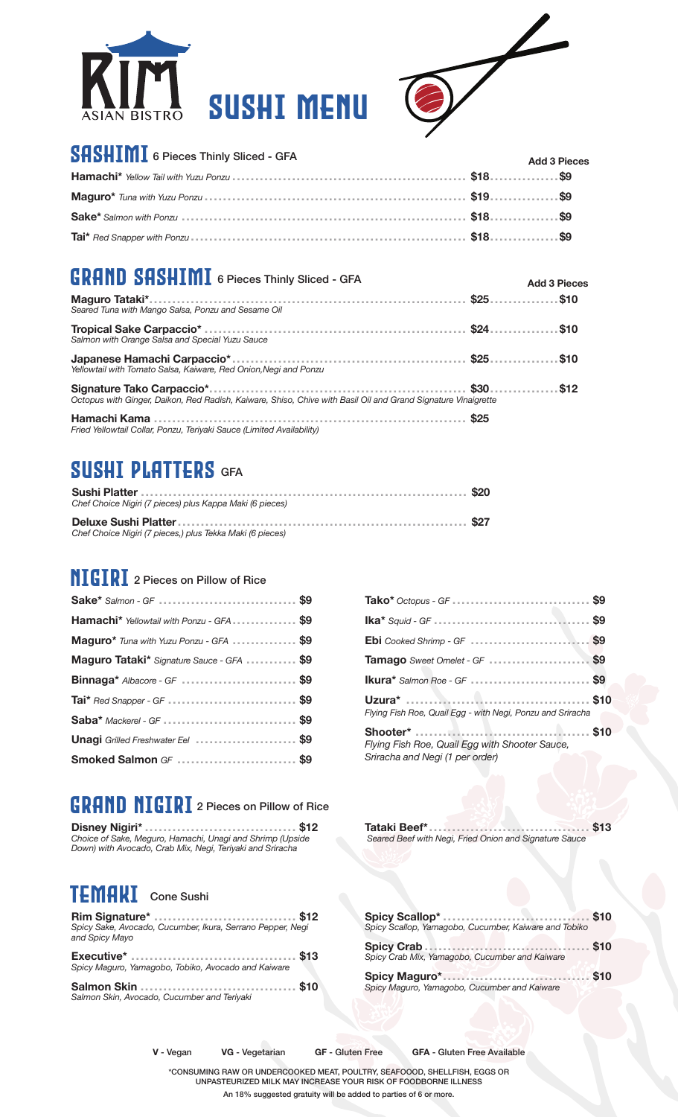



**Add 3 Pieces**

### ${\mathbf S}{\mathbf H}{\mathbf S}{\mathbf H}{\mathbf I}{\mathbf M}{\mathbf I}$  6 Pieces Thinly Sliced - GFA

| <b>DHDHIIIIII</b> 6 Pieces Thinly Sliced - GFA | <b>Add 3 Pieces</b> |
|------------------------------------------------|---------------------|
|                                                |                     |
|                                                |                     |
|                                                |                     |
|                                                |                     |

## $\textbf{GRAND} \textbf{ SASHIMI}$  6 Pieces Thinly Sliced - GFA

| Seared Tuna with Mango Salsa, Ponzu and Sesame Oil                                                            |             |  |
|---------------------------------------------------------------------------------------------------------------|-------------|--|
| Salmon with Orange Salsa and Special Yuzu Sauce                                                               |             |  |
| Yellowtail with Tomato Salsa, Kaiware, Red Onion, Negi and Ponzu                                              |             |  |
| Octopus with Ginger, Daikon, Red Radish, Kaiware, Shiso, Chive with Basil Oil and Grand Signature Vinaigrette |             |  |
| Fried Yellowtail Collar, Ponzu, Teriyaki Sauce (Limited Availability)                                         | <b>\$25</b> |  |

## SUSHI PLATTERS GFA

| Chef Choice Nigiri (7 pieces) plus Kappa Maki (6 pieces)  |  |
|-----------------------------------------------------------|--|
| Chef Choice Nigiri (7 pieces.) plus Tekka Maki (6 pieces) |  |

### **NIGIRI** 2 Pieces on Pillow of Rice

| Hamachi* Yellowtail with Ponzu - GFA \$9  |  |
|-------------------------------------------|--|
| Maguro* Tuna with Yuzu Ponzu - GFA \$9    |  |
| Maguro Tataki* Signature Sauce - GFA  \$9 |  |
| Binnaga* Albacore - GF \$9                |  |
| Tai* Red Snapper - GF \$9                 |  |
| Saba* Mackerel - GF  \$9                  |  |
| Unagi Grilled Freshwater Eel  \$9         |  |
| Smoked Salmon GF \$9                      |  |

## GRAND NIGIRI 2 Pieces on Pillow of Rice

**Disney Nigiri\* ................................. \$12** *Choice of Sake, Meguro, Hamachi, Unagi and Shrimp (Upside Down) with Avocado, Crab Mix, Negi, Teriyaki and Sriracha*

#### TEMAKI Cone Sushi

| <b>NIII Signature Commission of State State State In Allen</b><br>Spicy Sake, Avocado, Cucumber, Ikura, Serrano Pepper, Negi<br>and Spicy Mayo |
|------------------------------------------------------------------------------------------------------------------------------------------------|
| Spicy Maguro, Yamagobo, Tobiko, Avocado and Kaiware                                                                                            |
|                                                                                                                                                |

**Rim Signature\* ............................... \$12**

| Tako* Octopus - GF $\ldots$ \$9                                                   |  |
|-----------------------------------------------------------------------------------|--|
|                                                                                   |  |
|                                                                                   |  |
| Tamago Sweet Omelet - GF  \$9                                                     |  |
| Ikura* Salmon Roe - GF  \$9                                                       |  |
| Flying Fish Roe, Quail Egg - with Negi, Ponzu and Sriracha                        |  |
| Flying Fish Roe, Quail Egg with Shooter Sauce,<br>Sriracha and Negi (1 per order) |  |

**Tataki Beef\* ................................... \$13**  *Seared Beef with Negi, Fried Onion and Signature Sauce*

| Spicy Scallop, Yamagobo, Cucumber, Kaiware and Tobiko |      |
|-------------------------------------------------------|------|
| Spicy Crab Mix, Yamagobo, Cucumber and Kaiware        |      |
| Spicy Maguro, Yamagobo, Cucumber and Kaiware          | \$10 |

*Salmon Skin, Avocado, Cucumber and Teriyaki*

**V** - Vegan **VG** - Vegetarian **GF** - Gluten Free **GFA** - Gluten Free Available

\*CONSUMING RAW OR UNDERCOOKED MEAT, POULTRY, SEAFOOOD, SHELLFISH, EGGS OR UNPASTEURIZED MILK MAY INCREASE YOUR RISK OF FOODBORNE ILLNESS An 18% suggested gratuity will be added to parties of 6 or more.